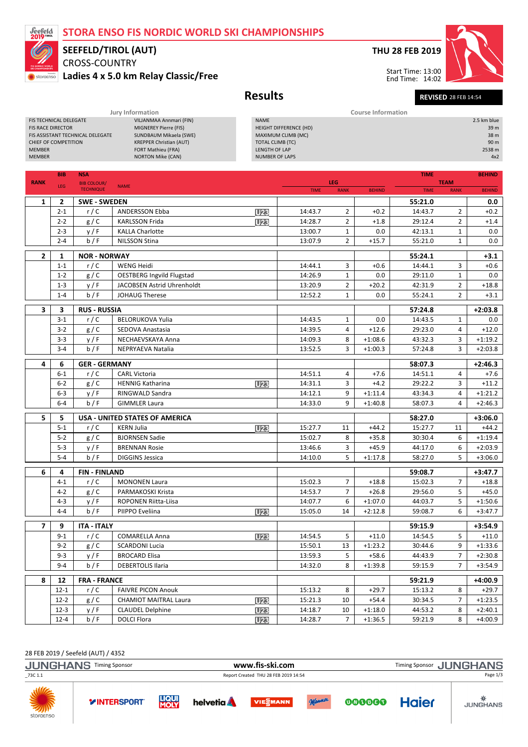## STORA ENSO FIS NORDIC WORLD SKI CHAMPIONSHIPS



# SEEFELD/TIROL (AUT)

CROSS-COUNTRY Ladies 4 x 5.0 km Relay Classic/Free

## THU 28 FEB 2019



Results Revised 28 FEB 14:54 End Time: 14:02

#### Jury Information Course Information FIS TECHNICAL DELEGATE<br>FIS RACE DIRECTOR **EXAMPLE A CONSTANT CONTRACT MIGNEREY Pierre (FIS)** MIGNEREY Pierre (FIS)<br>SUNDBAUM Mikaela (SWE) FIS ASSISTANT TECHNICAL DELEGATE<br>CHIEF OF COMPETITION CHIEF OF COMPETITION KREPPER Christian (AUT) MEMBER FORT Mathieu (FRA)<br>MEMBER FORT Mathieu (FRA)<br>MEMBER NORTON Mike (CAN) NORTON Mike (CAN) 2.5 km blue HEIGHT DIFFERENCE (HD) 39 m MAXIMUM CLIMB (MC) 38 m<br>TOTAL CLIMB (TC) 39 m TOTAL CLIMB (TC)<br>TOTAL CLIMB (TC)<br>LENGTH OF LAP 2538 m LENGTH OF LAP NUMBER OF LAPS 4x2

|                | <b>BIB</b>         | <b>NSA</b>                             | <b>TIME</b>                                      |                 |                    |                                |                      |                    | <b>BEHIND</b>                    |                        |
|----------------|--------------------|----------------------------------------|--------------------------------------------------|-----------------|--------------------|--------------------------------|----------------------|--------------------|----------------------------------|------------------------|
| <b>RANK</b>    | LEG                | <b>BIB COLOUR/</b><br><b>TECHNIQUE</b> | <b>NAME</b>                                      |                 | <b>TIME</b>        | LEG<br><b>RANK</b>             | <b>BEHIND</b>        | <b>TIME</b>        | <b>TEAM</b><br><b>RANK</b>       | <b>BEHIND</b>          |
| $\mathbf{1}$   | $\overline{2}$     | <b>SWE-SWEDEN</b>                      |                                                  |                 |                    |                                |                      | 55:21.0            |                                  | 0.0                    |
|                | $2 - 1$            | r/C                                    | <b>ANDERSSON Ebba</b>                            | U <sub>23</sub> | 14:43.7            | $\overline{2}$                 | $+0.2$               | 14:43.7            | $\overline{2}$                   | $+0.2$                 |
|                | $2 - 2$            | g/C                                    | <b>KARLSSON Frida</b>                            | <b>U23</b>      | 14:28.7            | $\overline{2}$                 | $+1.8$               | 29:12.4            | $\overline{2}$                   | $+1.4$                 |
|                | $2 - 3$            | y/F                                    | <b>KALLA Charlotte</b>                           |                 | 13:00.7            | 1                              | 0.0                  | 42:13.1            | 1                                | 0.0                    |
|                | $2 - 4$            | b / F                                  | <b>NILSSON Stina</b>                             |                 | 13:07.9            | $\overline{2}$                 | $+15.7$              | 55:21.0            | $\mathbf{1}$                     | 0.0                    |
|                |                    |                                        |                                                  |                 |                    |                                |                      |                    |                                  |                        |
| $\mathbf{2}$   | 1<br>$1 - 1$       | <b>NOR - NORWAY</b><br>r/C             | <b>WENG Heidi</b>                                |                 | 14:44.1            | 3                              | $+0.6$               | 55:24.1<br>14:44.1 | 3                                | $+3.1$<br>$+0.6$       |
|                | $1 - 2$            | g/C                                    | <b>OESTBERG Ingvild Flugstad</b>                 |                 | 14:26.9            | $\mathbf{1}$                   | 0.0                  | 29:11.0            | $\mathbf{1}$                     | 0.0                    |
|                | $1 - 3$            |                                        | JACOBSEN Astrid Uhrenholdt                       |                 |                    |                                | $+20.2$              | 42:31.9            | $\overline{2}$                   | $+18.8$                |
|                | $1 - 4$            | y/F<br>b/F                             | <b>JOHAUG Therese</b>                            |                 | 13:20.9<br>12:52.2 | $\overline{2}$<br>$\mathbf{1}$ | 0.0                  | 55:24.1            | $\overline{2}$                   | $+3.1$                 |
|                |                    |                                        |                                                  |                 |                    |                                |                      |                    |                                  |                        |
| 3              | 3                  | <b>RUS - RUSSIA</b>                    |                                                  |                 |                    |                                |                      | 57:24.8            |                                  | $+2:03.8$              |
|                | $3-1$              | r/C                                    | <b>BELORUKOVA Yulia</b>                          |                 | 14:43.5            | $\mathbf{1}$                   | 0.0                  | 14:43.5            | $\mathbf{1}$                     | 0.0                    |
|                | $3-2$              | g/C                                    | SEDOVA Anastasia                                 |                 | 14:39.5            | 4                              | $+12.6$              | 29:23.0            | $\overline{4}$                   | $+12.0$                |
|                | $3 - 3$            | y/F                                    | NECHAEVSKAYA Anna                                |                 | 14:09.3            | 8                              | $+1:08.6$            | 43:32.3            | 3                                | $+1:19.2$              |
|                | $3 - 4$            | b / F                                  | NEPRYAEVA Natalia                                |                 | 13:52.5            | 3                              | $+1:00.3$            | 57:24.8            | 3                                | $+2:03.8$              |
| 4              | 6                  | <b>GER - GERMANY</b>                   |                                                  |                 |                    |                                |                      | 58:07.3            |                                  | $+2:46.3$              |
|                | $6 - 1$            | r/C                                    | <b>CARL Victoria</b>                             |                 | 14:51.1            | 4                              | $+7.6$               | 14:51.1            | 4                                | $+7.6$                 |
|                | $6 - 2$            | g/C                                    | <b>HENNIG Katharina</b>                          | U23             | 14:31.1            | 3                              | $+4.2$               | 29:22.2            | 3                                | $+11.2$                |
|                | $6-3$              | y/F                                    | RINGWALD Sandra                                  |                 | 14:12.1            | 9                              | $+1:11.4$            | 43:34.3            | 4                                | $+1:21.2$              |
|                | $6 - 4$            | b / F                                  | <b>GIMMLER Laura</b>                             |                 | 14:33.0            | 9                              | $+1:40.8$            | 58:07.3            | 4                                | $+2:46.3$              |
| 5              | 5                  |                                        | <b>USA - UNITED STATES OF AMERICA</b>            |                 |                    |                                |                      | 58:27.0            |                                  | $+3:06.0$              |
|                | $5-1$              | r/C                                    | <b>KERN Julia</b>                                | <b>U23</b>      | 15:27.7            | 11                             | $+44.2$              | 15:27.7            | 11                               | $+44.2$                |
|                | $5 - 2$            | g / C                                  | <b>BJORNSEN Sadie</b>                            |                 | 15:02.7            | 8                              | $+35.8$              | 30:30.4            | 6                                | $+1:19.4$              |
|                | $5 - 3$            | y/F                                    | <b>BRENNAN Rosie</b>                             |                 | 13:46.6            | 3                              | $+45.9$              | 44:17.0            | 6                                | $+2:03.9$              |
|                | $5-4$              | b/F                                    | <b>DIGGINS Jessica</b>                           |                 | 14:10.0            | 5                              | $+1:17.8$            | 58:27.0            | 5                                | $+3:06.0$              |
| 6              | 4                  | <b>FIN-FINLAND</b>                     |                                                  |                 |                    |                                |                      | 59:08.7            |                                  | $+3:47.7$              |
|                | $4 - 1$            | r/C                                    | <b>MONONEN Laura</b>                             |                 | 15:02.3            | $\overline{7}$                 | $+18.8$              | 15:02.3            | $\overline{7}$                   | $+18.8$                |
|                | $4 - 2$            | g/C                                    | PARMAKOSKI Krista                                |                 | 14:53.7            | $\overline{7}$                 | $+26.8$              | 29:56.0            | 5                                | $+45.0$                |
|                | $4 - 3$            | y/F                                    | <b>ROPONEN Riitta-Liisa</b>                      |                 | 14:07.7            | 6                              | $+1:07.0$            | 44:03.7            | 5                                | $+1:50.6$              |
|                | $4 - 4$            | b / F                                  | PIIPPO Eveliina                                  | <b>U23</b>      | 15:05.0            | 14                             | $+2:12.8$            | 59:08.7            | 6                                | $+3:47.7$              |
|                |                    |                                        |                                                  |                 |                    |                                |                      |                    |                                  |                        |
| $\overline{7}$ | 9                  | <b>ITA - ITALY</b>                     |                                                  |                 |                    |                                |                      | 59:15.9            |                                  | +3:54.9                |
|                | $9 - 1$            | r/C                                    | <b>COMARELLA Anna</b>                            | <b>U23</b>      | 14:54.5            | 5                              | $+11.0$              | 14:54.5            | 5                                | $+11.0$                |
|                | $9 - 2$            | g/C                                    | <b>SCARDONI Lucia</b>                            |                 | 15:50.1            | 13                             | $+1:23.2$            | 30:44.6            | 9                                | $+1:33.6$              |
|                | $9 - 3$<br>$9 - 4$ | y/F<br>b/F                             | <b>BROCARD Elisa</b><br><b>DEBERTOLIS Ilaria</b> |                 | 13:59.3<br>14:32.0 | 5<br>8                         | $+58.6$<br>$+1:39.8$ | 44:43.9<br>59:15.9 | $\overline{7}$<br>$\overline{7}$ | $+2:30.8$<br>$+3:54.9$ |
|                |                    |                                        |                                                  |                 |                    |                                |                      |                    |                                  |                        |
| 8              | 12                 | <b>FRA - FRANCE</b>                    |                                                  |                 |                    |                                |                      | 59:21.9            |                                  | $+4:00.9$              |
|                | $12 - 1$           | r/C                                    | <b>FAIVRE PICON Anouk</b>                        |                 | 15:13.2            | 8                              | $+29.7$              | 15:13.2            | 8                                | $+29.7$                |
|                | $12 - 2$           | g/C                                    | <b>CHAMIOT MAITRAL Laura</b>                     | <b>U23</b>      | 15:21.3            | 10                             | $+54.4$              | 30:34.5            | $\overline{7}$                   | $+1:23.5$              |
|                | $12 - 3$           | y/F                                    | <b>CLAUDEL Delphine</b>                          | <b>U23</b>      | 14:18.7            | 10                             | $+1:18.0$            | 44:53.2            | 8                                | $+2:40.1$              |
|                | $12 - 4$           | b/F                                    | <b>DOLCI Flora</b>                               | <b>U23</b>      | 14:28.7            | $\overline{7}$                 | $+1:36.5$            | 59:21.9            | 8                                | $+4:00.9$              |

### 28 FEB 2019 / Seefeld (AUT) / 4352

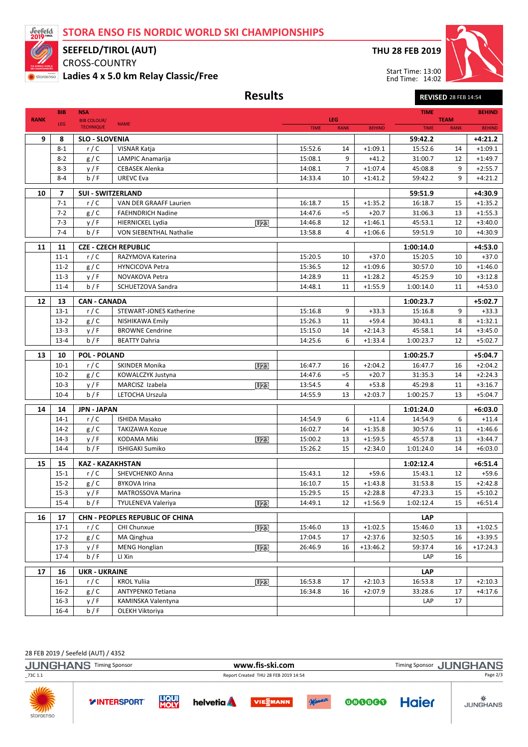## STORA ENSO FIS NORDIC WORLD SKI CHAMPIONSHIPS



## SEEFELD/TIROL (AUT)

CROSS-COUNTRY Ladies 4 x 5.0 km Relay Classic/Free

## THU 28 FEB 2019

Start Time: 13:00 End Time: 14:02



Results Revised 28 FEB 14:54

|             | <b>BIB</b>               | <b>NSA</b>                             |                                                  |                    |                    |                      | <b>TIME</b>          |                            | <b>BEHIND</b>        |
|-------------|--------------------------|----------------------------------------|--------------------------------------------------|--------------------|--------------------|----------------------|----------------------|----------------------------|----------------------|
| <b>RANK</b> | LEG                      | <b>BIB COLOUR/</b><br><b>TECHNIQUE</b> | <b>NAME</b>                                      | <b>TIME</b>        | LEG<br><b>RANK</b> | <b>BEHIND</b>        | <b>TIME</b>          | <b>TEAM</b><br><b>RANK</b> | <b>BEHIND</b>        |
|             |                          |                                        |                                                  |                    |                    |                      |                      |                            |                      |
| 9           | 8                        | <b>SLO - SLOVENIA</b>                  |                                                  |                    |                    |                      | 59:42.2              |                            | $+4:21.2$            |
|             | $8 - 1$                  | r/C                                    | VISNAR Katja                                     | 15:52.6            | 14<br>9            | $+1:09.1$<br>$+41.2$ | 15:52.6              | 14                         | $+1:09.1$            |
|             | $8 - 2$                  | g / C                                  | <b>LAMPIC Anamarija</b><br><b>CEBASEK Alenka</b> | 15:08.1            | $\overline{7}$     | $+1:07.4$            | 31:00.7              | 12<br>9                    | $+1:49.7$            |
|             | $8 - 3$<br>$8 - 4$       | y/F<br>b/F                             |                                                  | 14:08.1            | 10                 |                      | 45:08.8              | 9                          | $+2:55.7$            |
|             |                          |                                        | <b>UREVC Eva</b>                                 | 14:33.4            |                    | $+1:41.2$            | 59:42.2              |                            | $+4:21.2$            |
| 10          | $\overline{\phantom{a}}$ | <b>SUI - SWITZERLAND</b>               |                                                  |                    |                    |                      | 59:51.9              |                            | $+4:30.9$            |
|             | $7-1$                    | r/C                                    | VAN DER GRAAFF Laurien                           | 16:18.7            | 15                 | $+1:35.2$            | 16:18.7              | 15                         | $+1:35.2$            |
|             | $7 - 2$                  | g / C                                  | <b>FAEHNDRICH Nadine</b>                         | 14:47.6            | $=5$               | $+20.7$              | 31:06.3              | 13                         | $+1:55.3$            |
|             | $7 - 3$                  | y/F                                    | <b>HIERNICKEL Lydia</b><br>U <sub>23</sub>       | 14:46.8            | 12                 | $+1:46.1$            | 45:53.1              | 12                         | $+3:40.0$            |
|             | $7 - 4$                  | b / F                                  | <b>VON SIEBENTHAL Nathalie</b>                   | 13:58.8            | 4                  | $+1:06.6$            | 59:51.9              | 10                         | $+4:30.9$            |
| 11          | 11                       |                                        | <b>CZE - CZECH REPUBLIC</b>                      |                    |                    |                      | 1:00:14.0            |                            | $+4:53.0$            |
|             | $11 - 1$                 | r/C                                    | RAZYMOVA Katerina                                | 15:20.5            | 10                 | $+37.0$              | 15:20.5              | 10                         | $+37.0$              |
|             | $11-2$                   | g / C                                  | <b>HYNCICOVA Petra</b>                           | 15:36.5            | 12                 | $+1:09.6$            | 30:57.0              | 10                         | $+1:46.0$            |
|             | $11-3$                   | y/F                                    | NOVAKOVA Petra                                   | 14:28.9            | 11                 | $+1:28.2$            | 45:25.9              | 10                         | $+3:12.8$            |
|             | $11 - 4$                 | b/F                                    | SCHUETZOVA Sandra                                | 14:48.1            | 11                 | $+1:55.9$            | 1:00:14.0            | 11                         | $+4:53.0$            |
|             |                          |                                        |                                                  |                    |                    |                      |                      |                            |                      |
| 12          | 13                       | <b>CAN - CANADA</b>                    |                                                  |                    |                    |                      | 1:00:23.7            |                            | $+5:02.7$            |
|             | $13-1$<br>$13-2$         | r/C<br>g / C                           | <b>STEWART-JONES Katherine</b>                   | 15:16.8<br>15:26.3 | 9<br>11            | $+33.3$<br>$+59.4$   | 15:16.8<br>30:43.1   | 9<br>8                     | $+33.3$<br>$+1:32.1$ |
|             | $13-3$                   | y/F                                    | NISHIKAWA Emily<br><b>BROWNE Cendrine</b>        | 15:15.0            | 14                 | $+2:14.3$            | 45:58.1              | 14                         | $+3:45.0$            |
|             | $13 - 4$                 | b/F                                    | <b>BEATTY Dahria</b>                             | 14:25.6            | 6                  | $+1:33.4$            | 1:00:23.7            | 12                         | $+5:02.7$            |
|             |                          |                                        |                                                  |                    |                    |                      |                      |                            |                      |
| 13          | 10                       | <b>POL - POLAND</b>                    |                                                  |                    |                    |                      | 1:00:25.7            |                            | $+5:04.7$            |
|             | $10-1$                   | r/C                                    | <b>SKINDER Monika</b><br>U <sub>23</sub>         | 16:47.7            | 16                 | $+2:04.2$            | 16:47.7              | 16                         | $+2:04.2$            |
|             | $10-2$                   | g / C                                  | KOWALCZYK Justyna                                | 14:47.6            | $=5$               | $+20.7$              | 31:35.3              | 14                         | $+2:24.3$            |
|             | $10-3$                   | y/F                                    | MARCISZ Izabela<br>U <sub>23</sub>               | 13:54.5            | 4                  | $+53.8$              | 45:29.8              | 11                         | $+3:16.7$            |
|             | $10 - 4$                 | b / F                                  | LETOCHA Urszula                                  | 14:55.9            | 13                 | $+2:03.7$            | 1:00:25.7            | 13                         | $+5:04.7$            |
| 14          | 14                       | <b>JPN - JAPAN</b>                     |                                                  |                    |                    |                      | 1:01:24.0            |                            | $+6:03.0$            |
|             | $14-1$                   | r/C                                    | <b>ISHIDA Masako</b>                             | 14:54.9            | 6                  | $+11.4$              | 14:54.9              | 6                          | $+11.4$              |
|             | $14-2$                   | g / C                                  | TAKIZAWA Kozue                                   | 16:02.7            | 14                 | $+1:35.8$            | 30:57.6              | 11                         | $+1:46.6$            |
|             | $14-3$                   | y/F                                    | <b>KODAMA Miki</b><br><b>U23</b>                 | 15:00.2            | 13                 | $+1:59.5$            | 45:57.8              | 13                         | $+3:44.7$            |
|             | $14 - 4$                 | b / F                                  | <b>ISHIGAKI Sumiko</b>                           | 15:26.2            | 15                 | $+2:34.0$            | 1:01:24.0            | 14                         | $+6:03.0$            |
|             |                          | <b>KAZ - KAZAKHSTAN</b>                |                                                  |                    |                    |                      |                      |                            |                      |
| 15          | 15<br>$15 - 1$           | r/C                                    | SHEVCHENKO Anna                                  | 15:43.1            | 12                 | $+59.6$              | 1:02:12.4<br>15:43.1 | 12                         | $+6:51.4$<br>$+59.6$ |
|             | $15 - 2$                 | g / C                                  | <b>BYKOVA Irina</b>                              | 16:10.7            | 15                 | $+1:43.8$            | 31:53.8              | 15                         | $+2:42.8$            |
|             | $15-3$                   | y/F                                    | <b>MATROSSOVA Marina</b>                         | 15:29.5            | 15                 | $+2:28.8$            | 47:23.3              | 15                         | $+5:10.2$            |
|             | $15 - 4$                 | b/F                                    | TYULENEVA Valeriya<br>U23                        | 14:49.1            | 12                 | $+1:56.9$            | 1:02:12.4            | 15                         | $+6:51.4$            |
|             |                          |                                        |                                                  |                    |                    |                      |                      |                            |                      |
| 16          | 17                       |                                        | CHN - PEOPLES REPUBLIC OF CHINA                  |                    |                    |                      | <b>LAP</b>           |                            |                      |
|             | $17-1$                   | r/C                                    | CHI Chunxue<br>U <sub>23</sub>                   | 15:46.0            | 13                 | $+1:02.5$            | 15:46.0              | 13                         | $+1:02.5$            |
|             | $17-2$                   | g/C                                    | MA Qinghua                                       | 17:04.5            | 17                 | $+2:37.6$            | 32:50.5              | 16                         | $+3:39.5$            |
|             | $17-3$                   | y/F                                    | <b>MENG Honglian</b><br>U <sub>23</sub>          | 26:46.9            | 16                 | $+13:46.2$           | 59:37.4              | 16                         | $+17:24.3$           |
|             | $17 - 4$                 | b/F                                    | LI Xin                                           |                    |                    |                      | LAP                  | 16                         |                      |
| 17          | 16                       | <b>UKR - UKRAINE</b>                   |                                                  |                    |                    |                      | <b>LAP</b>           |                            |                      |
|             | $16-1$                   | r/C                                    | <b>KROL Yuliia</b><br>U <sub>23</sub>            | 16:53.8            | 17                 | $+2:10.3$            | 16:53.8              | 17                         | $+2:10.3$            |
|             | $16 - 2$                 | g / C                                  | ANTYPENKO Tetiana                                | 16:34.8            | 16                 | $+2:07.9$            | 33:28.6              | 17                         | $+4:17.6$            |
|             | $16 - 3$                 | y/F                                    | KAMINSKA Valentyna                               |                    |                    |                      | LAP                  | 17                         |                      |
|             | $16 - 4$                 | b/F                                    | OLEKH Viktoriya                                  |                    |                    |                      |                      |                            |                      |

28 FEB 2019 / Seefeld (AUT) / 4352